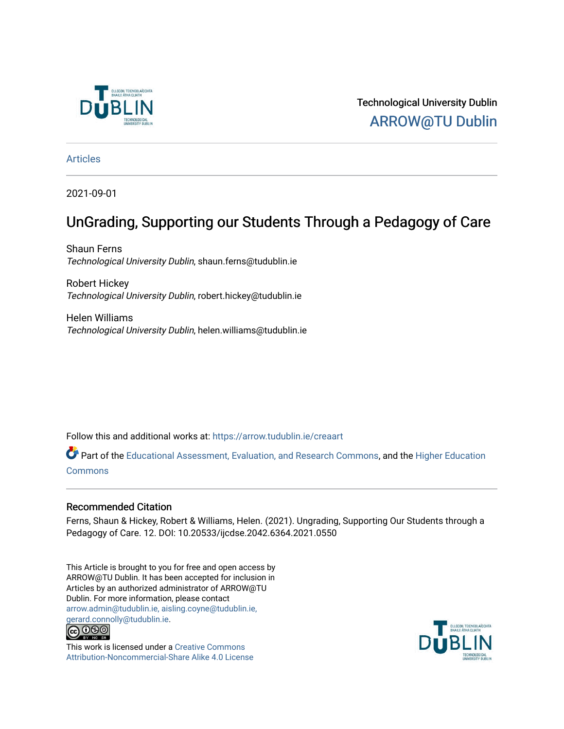

Technological University Dublin [ARROW@TU Dublin](https://arrow.tudublin.ie/) 

[Articles](https://arrow.tudublin.ie/creaart)

2021-09-01

# UnGrading, Supporting our Students Through a Pedagogy of Care

Shaun Ferns Technological University Dublin, shaun.ferns@tudublin.ie

Robert Hickey Technological University Dublin, robert.hickey@tudublin.ie

Helen Williams Technological University Dublin, helen.williams@tudublin.ie

Follow this and additional works at: [https://arrow.tudublin.ie/creaart](https://arrow.tudublin.ie/creaart?utm_source=arrow.tudublin.ie%2Fcreaart%2F61&utm_medium=PDF&utm_campaign=PDFCoverPages) 

Part of the [Educational Assessment, Evaluation, and Research Commons](http://network.bepress.com/hgg/discipline/796?utm_source=arrow.tudublin.ie%2Fcreaart%2F61&utm_medium=PDF&utm_campaign=PDFCoverPages), and the [Higher Education](http://network.bepress.com/hgg/discipline/1245?utm_source=arrow.tudublin.ie%2Fcreaart%2F61&utm_medium=PDF&utm_campaign=PDFCoverPages) [Commons](http://network.bepress.com/hgg/discipline/1245?utm_source=arrow.tudublin.ie%2Fcreaart%2F61&utm_medium=PDF&utm_campaign=PDFCoverPages)

## Recommended Citation

Ferns, Shaun & Hickey, Robert & Williams, Helen. (2021). Ungrading, Supporting Our Students through a Pedagogy of Care. 12. DOI: 10.20533/ijcdse.2042.6364.2021.0550

This Article is brought to you for free and open access by ARROW@TU Dublin. It has been accepted for inclusion in Articles by an authorized administrator of ARROW@TU Dublin. For more information, please contact [arrow.admin@tudublin.ie, aisling.coyne@tudublin.ie,](mailto:arrow.admin@tudublin.ie,%20aisling.coyne@tudublin.ie,%20gerard.connolly@tudublin.ie)  [gerard.connolly@tudublin.ie](mailto:arrow.admin@tudublin.ie,%20aisling.coyne@tudublin.ie,%20gerard.connolly@tudublin.ie).<br>@000



This work is licensed under a [Creative Commons](http://creativecommons.org/licenses/by-nc-sa/4.0/) [Attribution-Noncommercial-Share Alike 4.0 License](http://creativecommons.org/licenses/by-nc-sa/4.0/)

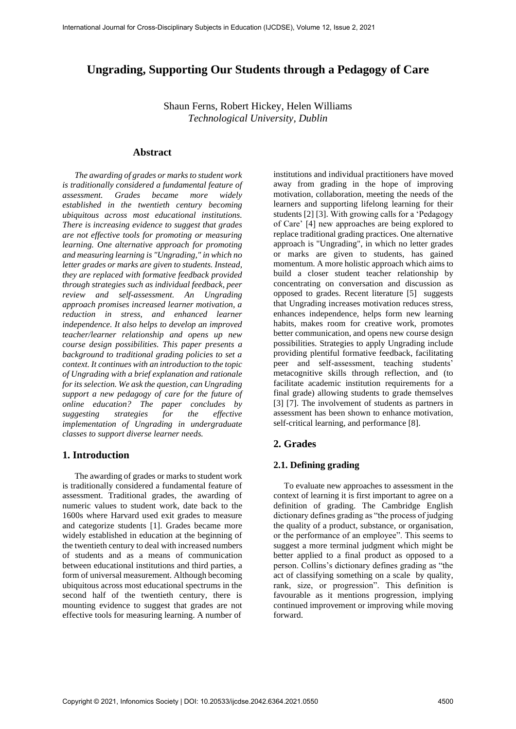## **Ungrading, Supporting Our Students through a Pedagogy of Care**

Shaun Ferns, Robert Hickey, Helen Williams *Technological University, Dublin*

#### **Abstract**

*The awarding of grades or marks to student work is traditionally considered a fundamental feature of assessment. Grades became more widely established in the twentieth century becoming ubiquitous across most educational institutions. There is increasing evidence to suggest that grades are not effective tools for promoting or measuring learning. One alternative approach for promoting and measuring learning is "Ungrading," in which no letter grades or marks are given to students. Instead, they are replaced with formative feedback provided through strategies such as individual feedback, peer review and self-assessment. An Ungrading approach promises increased learner motivation, a reduction in stress, and enhanced learner independence. It also helps to develop an improved teacher/learner relationship and opens up new course design possibilities. This paper presents a background to traditional grading policies to set a context. It continues with an introduction to the topic of Ungrading with a brief explanation and rationale for its selection. We ask the question, can Ungrading support a new pedagogy of care for the future of online education? The paper concludes by suggesting strategies for the effective implementation of Ungrading in undergraduate classes to support diverse learner needs.*

### **1. Introduction**

The awarding of grades or marks to student work is traditionally considered a fundamental feature of assessment. Traditional grades, the awarding of numeric values to student work, date back to the 1600s where Harvard used exit grades to measure and categorize students [1]. Grades became more widely established in education at the beginning of the twentieth century to deal with increased numbers of students and as a means of communication between educational institutions and third parties, a form of universal measurement. Although becoming ubiquitous across most educational spectrums in the second half of the twentieth century, there is mounting evidence to suggest that grades are not effective tools for measuring learning. A number of

institutions and individual practitioners have moved away from grading in the hope of improving motivation, collaboration, meeting the needs of the learners and supporting lifelong learning for their students [2] [3]. With growing calls for a 'Pedagogy of Care' [4] new approaches are being explored to replace traditional grading practices. One alternative approach is "Ungrading", in which no letter grades or marks are given to students, has gained momentum. A more holistic approach which aims to build a closer student teacher relationship by concentrating on conversation and discussion as opposed to grades. Recent literature [5] suggests that Ungrading increases motivation reduces stress, enhances independence, helps form new learning habits, makes room for creative work, promotes better communication, and opens new course design possibilities. Strategies to apply Ungrading include providing plentiful formative feedback, facilitating peer and self-assessment, teaching students' metacognitive skills through reflection, and (to facilitate academic institution requirements for a final grade) allowing students to grade themselves [3] [7]. The involvement of students as partners in assessment has been shown to enhance motivation, self-critical learning, and performance [8].

## **2. Grades**

#### **2.1. Defining grading**

To evaluate new approaches to assessment in the context of learning it is first important to agree on a definition of grading. The Cambridge English dictionary defines grading as "the process of judging the quality of a product, substance, or organisation, or the performance of an employee". This seems to suggest a more terminal judgment which might be better applied to a final product as opposed to a person. Collins's dictionary defines grading as "the act of classifying something on a scale by quality, rank, size, or progression". This definition is favourable as it mentions progression, implying continued improvement or improving while moving forward.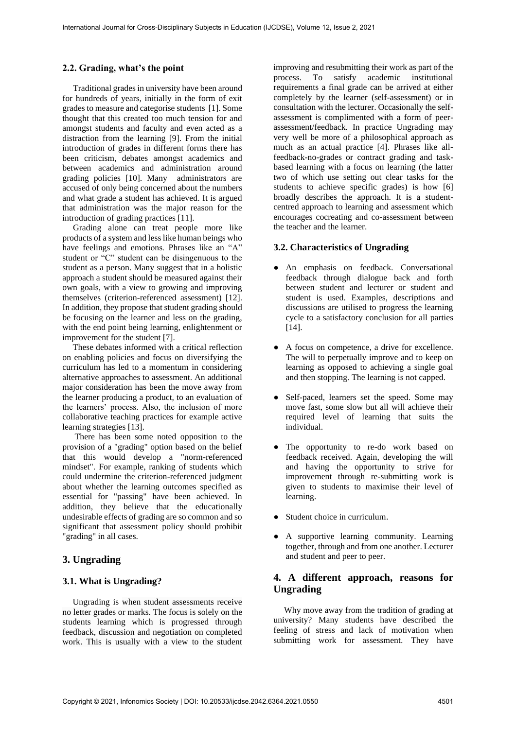#### **2.2. Grading, what's the point**

Traditional grades in university have been around for hundreds of years, initially in the form of exit grades to measure and categorise students [1]. Some thought that this created too much tension for and amongst students and faculty and even acted as a distraction from the learning [9]. From the initial introduction of grades in different forms there has been criticism, debates amongst academics and between academics and administration around grading policies [10]. Many administrators are accused of only being concerned about the numbers and what grade a student has achieved. It is argued that administration was the major reason for the introduction of grading practices [11].

Grading alone can treat people more like products of a system and less like human beings who have feelings and emotions. Phrases like an "A" student or "C" student can be disingenuous to the student as a person. Many suggest that in a holistic approach a student should be measured against their own goals, with a view to growing and improving themselves (criterion-referenced assessment) [12]. In addition, they propose that student grading should be focusing on the learner and less on the grading, with the end point being learning, enlightenment or improvement for the student [7].

These debates informed with a critical reflection on enabling policies and focus on diversifying the curriculum has led to a momentum in considering alternative approaches to assessment. An additional major consideration has been the move away from the learner producing a product, to an evaluation of the learners' process. Also, the inclusion of more collaborative teaching practices for example active learning strategies [13].

There has been some noted opposition to the provision of a "grading" option based on the belief that this would develop a "norm-referenced mindset". For example, ranking of students which could undermine the criterion-referenced judgment about whether the learning outcomes specified as essential for "passing" have been achieved. In addition, they believe that the educationally undesirable effects of grading are so common and so significant that assessment policy should prohibit "grading" in all cases.

## **3. Ungrading**

#### **3.1. What is Ungrading?**

Ungrading is when student assessments receive no letter grades or marks. The focus is solely on the students learning which is progressed through feedback, discussion and negotiation on completed work. This is usually with a view to the student improving and resubmitting their work as part of the process. To satisfy academic institutional requirements a final grade can be arrived at either completely by the learner (self-assessment) or in consultation with the lecturer. Occasionally the selfassessment is complimented with a form of peerassessment/feedback. In practice Ungrading may very well be more of a philosophical approach as much as an actual practice [4]. Phrases like allfeedback-no-grades or contract grading and taskbased learning with a focus on learning (the latter two of which use setting out clear tasks for the students to achieve specific grades) is how [6] broadly describes the approach. It is a studentcentred approach to learning and assessment which encourages cocreating and co-assessment between the teacher and the learner.

### **3.2. Characteristics of Ungrading**

- An emphasis on feedback. Conversational feedback through dialogue back and forth between student and lecturer or student and student is used. Examples, descriptions and discussions are utilised to progress the learning cycle to a satisfactory conclusion for all parties [14].
- A focus on competence, a drive for excellence. The will to perpetually improve and to keep on learning as opposed to achieving a single goal and then stopping. The learning is not capped.
- Self-paced, learners set the speed. Some may move fast, some slow but all will achieve their required level of learning that suits the individual.
- The opportunity to re-do work based on feedback received. Again, developing the will and having the opportunity to strive for improvement through re-submitting work is given to students to maximise their level of learning.
- Student choice in curriculum.
- A supportive learning community. Learning together, through and from one another. Lecturer and student and peer to peer.

## **4. A different approach, reasons for Ungrading**

Why move away from the tradition of grading at university? Many students have described the feeling of stress and lack of motivation when submitting work for assessment. They have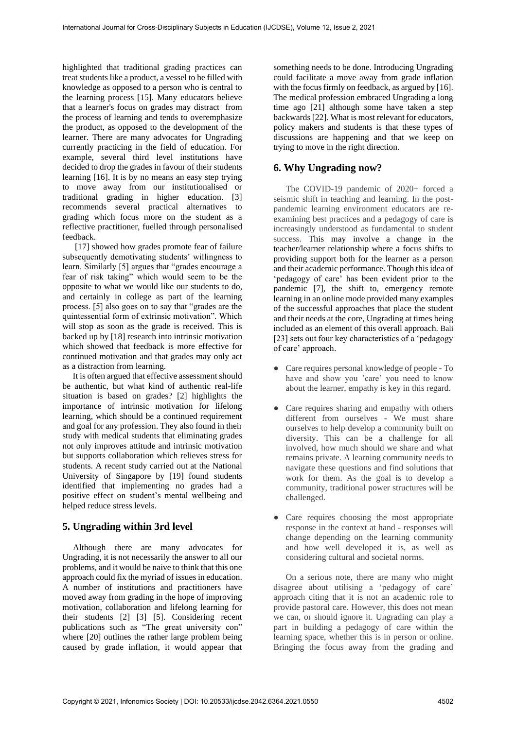highlighted that traditional grading practices can treat students like a product, a vessel to be filled with knowledge as opposed to a person who is central to the learning process [15]. Many educators believe that a learner's focus on grades may distract from the process of learning and tends to overemphasize the product, as opposed to the development of the learner. There are many advocates for Ungrading currently practicing in the field of education. For example, several third level institutions have decided to drop the grades in favour of their students learning [16]. It is by no means an easy step trying to move away from our institutionalised or traditional grading in higher education. [3] recommends several practical alternatives to grading which focus more on the student as a reflective practitioner, fuelled through personalised feedback.

[17] showed how grades promote fear of failure subsequently demotivating students' willingness to learn. Similarly [5] argues that "grades encourage a fear of risk taking" which would seem to be the opposite to what we would like our students to do, and certainly in college as part of the learning process. [5] also goes on to say that "grades are the quintessential form of extrinsic motivation". Which will stop as soon as the grade is received. This is backed up by [18] research into intrinsic motivation which showed that feedback is more effective for continued motivation and that grades may only act as a distraction from learning.

It is often argued that effective assessment should be authentic, but what kind of authentic real-life situation is based on grades? [2] highlights the importance of intrinsic motivation for lifelong learning, which should be a continued requirement and goal for any profession. They also found in their study with medical students that eliminating grades not only improves attitude and intrinsic motivation but supports collaboration which relieves stress for students. A recent study carried out at the National University of Singapore by [19] found students identified that implementing no grades had a positive effect on student's mental wellbeing and helped reduce stress levels.

## **5. Ungrading within 3rd level**

Although there are many advocates for Ungrading, it is not necessarily the answer to all our problems, and it would be naive to think that this one approach could fix the myriad of issues in education. A number of institutions and practitioners have moved away from grading in the hope of improving motivation, collaboration and lifelong learning for their students [2] [3] [5]. Considering recent publications such as "The great university con" where [20] outlines the rather large problem being caused by grade inflation, it would appear that

something needs to be done. Introducing Ungrading could facilitate a move away from grade inflation with the focus firmly on feedback, as argued by [16]. The medical profession embraced Ungrading a long time ago [21] although some have taken a step backwards [22]. What is most relevant for educators, policy makers and students is that these types of discussions are happening and that we keep on trying to move in the right direction.

## **6. Why Ungrading now?**

The COVID-19 pandemic of 2020+ forced a seismic shift in teaching and learning. In the postpandemic learning environment educators are reexamining best practices and a pedagogy of care is increasingly understood as fundamental to student success. This may involve a change in the teacher/learner relationship where a focus shifts to providing support both for the learner as a person and their academic performance. Though this idea of 'pedagogy of care' has been evident prior to the pandemic [7], the shift to, emergency remote learning in an online mode provided many examples of the successful approaches that place the student and their needs at the core, Ungrading at times being included as an element of this overall approach. Bali [23] sets out four key characteristics of a 'pedagogy of care' approach.

- Care requires personal knowledge of people To have and show you 'care' you need to know about the learner, empathy is key in this regard.
- Care requires sharing and empathy with others different from ourselves - We must share ourselves to help develop a community built on diversity. This can be a challenge for all involved, how much should we share and what remains private. A learning community needs to navigate these questions and find solutions that work for them. As the goal is to develop a community, traditional power structures will be challenged.
- Care requires choosing the most appropriate response in the context at hand - responses will change depending on the learning community and how well developed it is, as well as considering cultural and societal norms.

On a serious note, there are many who might disagree about utilising a 'pedagogy of care' approach citing that it is not an academic role to provide pastoral care. However, this does not mean we can, or should ignore it. Ungrading can play a part in building a pedagogy of care within the learning space, whether this is in person or online. Bringing the focus away from the grading and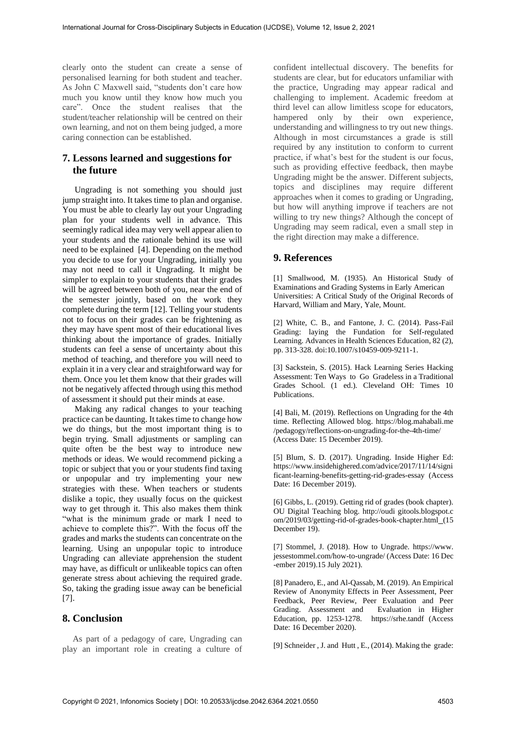clearly onto the student can create a sense of personalised learning for both student and teacher. As John C Maxwell said, "students don't care how much you know until they know how much you care". Once the student realises that the student/teacher relationship will be centred on their own learning, and not on them being judged, a more caring connection can be established.

## **7. Lessons learned and suggestions for the future**

Ungrading is not something you should just jump straight into. It takes time to plan and organise. You must be able to clearly lay out your Ungrading plan for your students well in advance. This seemingly radical idea may very well appear alien to your students and the rationale behind its use will need to be explained [4]. Depending on the method you decide to use for your Ungrading, initially you may not need to call it Ungrading. It might be simpler to explain to your students that their grades will be agreed between both of you, near the end of the semester jointly, based on the work they complete during the term [12]. Telling your students not to focus on their grades can be frightening as they may have spent most of their educational lives thinking about the importance of grades. Initially students can feel a sense of uncertainty about this method of teaching, and therefore you will need to explain it in a very clear and straightforward way for them. Once you let them know that their grades will not be negatively affected through using this method of assessment it should put their minds at ease.

Making any radical changes to your teaching practice can be daunting. It takes time to change how we do things, but the most important thing is to begin trying. Small adjustments or sampling can quite often be the best way to introduce new methods or ideas. We would recommend picking a topic or subject that you or your students find taxing or unpopular and try implementing your new strategies with these. When teachers or students dislike a topic, they usually focus on the quickest way to get through it. This also makes them think "what is the minimum grade or mark I need to achieve to complete this?". With the focus off the grades and marks the students can concentrate on the learning. Using an unpopular topic to introduce Ungrading can alleviate apprehension the student may have, as difficult or unlikeable topics can often generate stress about achieving the required grade. So, taking the grading issue away can be beneficial [7].

#### **8. Conclusion**

As part of a pedagogy of care, Ungrading can play an important role in creating a culture of confident intellectual discovery. The benefits for students are clear, but for educators unfamiliar with the practice, Ungrading may appear radical and challenging to implement. Academic freedom at third level can allow limitless scope for educators, hampered only by their own experience, understanding and willingness to try out new things. Although in most circumstances a grade is still required by any institution to conform to current practice, if what's best for the student is our focus, such as providing effective feedback, then maybe Ungrading might be the answer. Different subjects, topics and disciplines may require different approaches when it comes to grading or Ungrading, but how will anything improve if teachers are not willing to try new things? Although the concept of Ungrading may seem radical, even a small step in the right direction may make a difference.

## **9. References**

[1] Smallwood, M. (1935). An Historical Study of Examinations and Grading Systems in Early American Universities: A Critical Study of the Original Records of Harvard, William and Mary, Yale, Mount.

[2] White, C. B., and Fantone, J. C. (2014). Pass-Fail Grading: laying the Fundation for Self-regulated Learning. Advances in Health Sciences Education, 82 (2), pp. 313-328. doi:10.1007/s10459-009-9211-1.

[3] Sackstein, S. (2015). Hack Learning Series Hacking Assessment: Ten Ways to Go Gradeless in a Traditional Grades School. (1 ed.). Cleveland OH: Times 10 Publications.

[4] Bali, M. (2019). Reflections on Ungrading for the 4th time. Reflecting Allowed blog. https://blog.mahabali.me /pedagogy/reflections-on-ungrading-for-the-4th-time/ (Access Date: 15 December 2019).

[5] Blum, S. D. (2017). Ungrading. Inside Higher Ed: [https://www.insidehighered.com/advice/2017/1](https://www.insidehighered.com/advice/2017/)1/14/signi ficant-learning-benefits-getting-rid-grades-essay (Access Date: 16 December 2019).

[6] Gibbs, L. (2019). Getting rid of grades (book chapter). OU Digital Teaching blog. http://oudi gitools.blogspot.c om/2019/03/getting-rid-of-grades-book-chapter.html (15 December 19).

[7] Stommel, J. (2018). How to Ungrade. https://www. jessestommel.com/how-to-ungrade/ (Access Date: 16 Dec -ember 2019).15 July 2021).

[8] Panadero, E., and Al-Qassab, M. (2019). An Empirical Review of Anonymity Effects in Peer Assessment, Peer Feedback, Peer Review, Peer Evaluation and Peer Grading. Assessment and Evaluation in Higher Education, pp. 1253-1278. https://srhe.tandf (Access Date: 16 December 2020).

[9] Schneider, J. and Hutt, E., (2014). Making the grade: